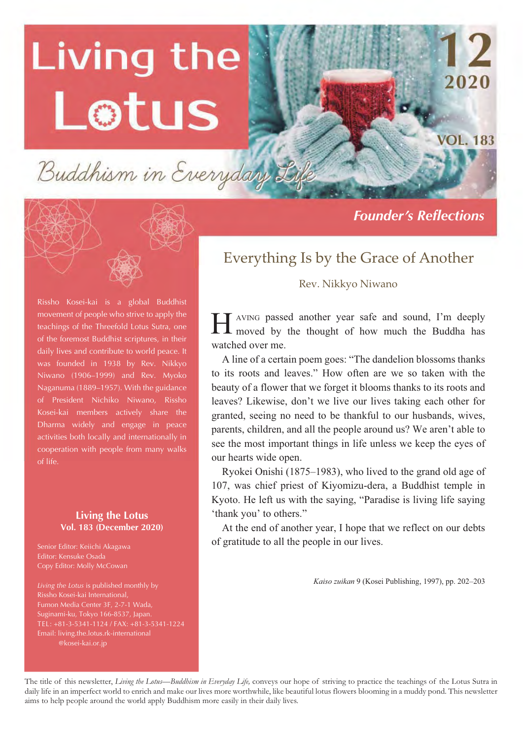# Living the Lotus

Buddhism in Everyday

Rissho Kosei-kai is a global Buddhist movement of people who strive to apply the teachings of the Threefold Lotus Sutra, one of the foremost Buddhist scriptures, in their daily lives and contribute to world peace. It was founded in 1938 by Rev. Nikkyo Niwano (1906–1999) and Rev. Myoko Naganuma (1889–1957). With the guidance of President Nichiko Niwano, Rissho Kosei-kai members actively share the Dharma widely and engage in peace activities both locally and internationally in cooperation with people from many walks of life.

#### **Living the Lotus Vol. 183 (December 2020)**

Senior Editor: Keiichi Akagawa Editor: Kensuke Osada Copy Editor: Molly McCowan

*Living the Lotus* is published monthly by Rissho Kosei-kai International, Suginami-ku, Tokyo 166-8537, Japan. TEL: +81-3-5341-1124 / FAX: +81-3-5341-1224 Email: living.the.lotus.rk-international @kosei-kai.or.jp

*Founder's Reflections* 

2020

**VOL. 183** 

### Everything Is by the Grace of Another

#### Rev. Nikkyo Niwano

AVING passed another year safe and sound, I'm deeply I AVING passed another year safe and sound, I'm deeply moved by the thought of how much the Buddha has watched over me.

A line of a certain poem goes: "The dandelion blossoms thanks to its roots and leaves." How often are we so taken with the beauty of a flower that we forget it blooms thanks to its roots and leaves? Likewise, don't we live our lives taking each other for granted, seeing no need to be thankful to our husbands, wives, parents, children, and all the people around us? We aren't able to see the most important things in life unless we keep the eyes of our hearts wide open.

Ryokei Onishi (1875–1983), who lived to the grand old age of 107, was chief priest of Kiyomizu-dera, a Buddhist temple in Kyoto. He left us with the saying, "Paradise is living life saying 'thank you' to others."

At the end of another year, I hope that we reflect on our debts of gratitude to all the people in our lives.

*Kaiso zuikan* 9 (Kosei Publishing, 1997), pp. 202–203

The title of this newsletter, *Living the Lotus—Buddhism in Everyday Life,* conveys our hope of striving to practice the teachings of the Lotus Sutra in daily life in an imperfect world to enrich and make our lives more worthwhile, like beautiful lotus flowers blooming in a muddy pond. This newsletter aims to help people around the world apply Buddhism more easily in their daily lives.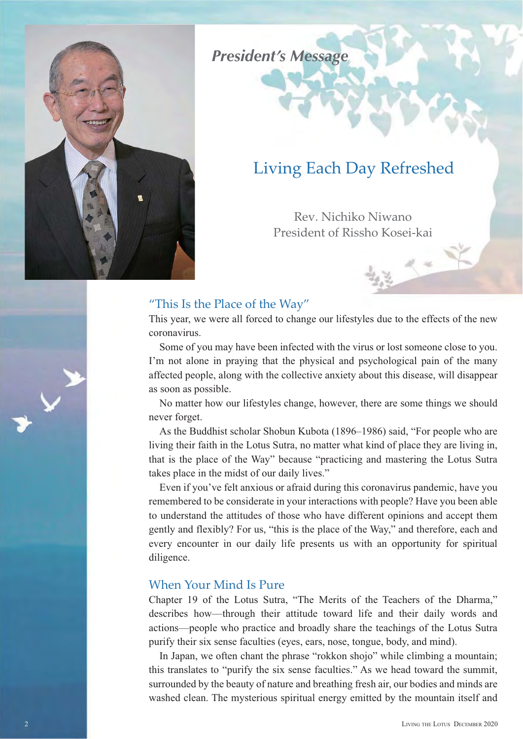

### *President's Message*

### Living Each Day Refreshed

Rev. Nichiko Niwano President of Rissho Kosei-kai

#### "This Is the Place of the Way"

This year, we were all forced to change our lifestyles due to the effects of the new coronavirus.

Some of you may have been infected with the virus or lost someone close to you. I'm not alone in praying that the physical and psychological pain of the many affected people, along with the collective anxiety about this disease, will disappear as soon as possible.

No matter how our lifestyles change, however, there are some things we should never forget.

As the Buddhist scholar Shobun Kubota (1896–1986) said, "For people who are living their faith in the Lotus Sutra, no matter what kind of place they are living in, that is the place of the Way" because "practicing and mastering the Lotus Sutra takes place in the midst of our daily lives."

Even if you've felt anxious or afraid during this coronavirus pandemic, have you remembered to be considerate in your interactions with people? Have you been able to understand the attitudes of those who have different opinions and accept them gently and flexibly? For us, "this is the place of the Way," and therefore, each and every encounter in our daily life presents us with an opportunity for spiritual diligence.

#### When Your Mind Is Pure

Chapter 19 of the Lotus Sutra, "The Merits of the Teachers of the Dharma," describes how—through their attitude toward life and their daily words and actions—people who practice and broadly share the teachings of the Lotus Sutra purify their six sense faculties (eyes, ears, nose, tongue, body, and mind).

In Japan, we often chant the phrase "rokkon shojo" while climbing a mountain; this translates to "purify the six sense faculties." As we head toward the summit, surrounded by the beauty of nature and breathing fresh air, our bodies and minds are washed clean. The mysterious spiritual energy emitted by the mountain itself and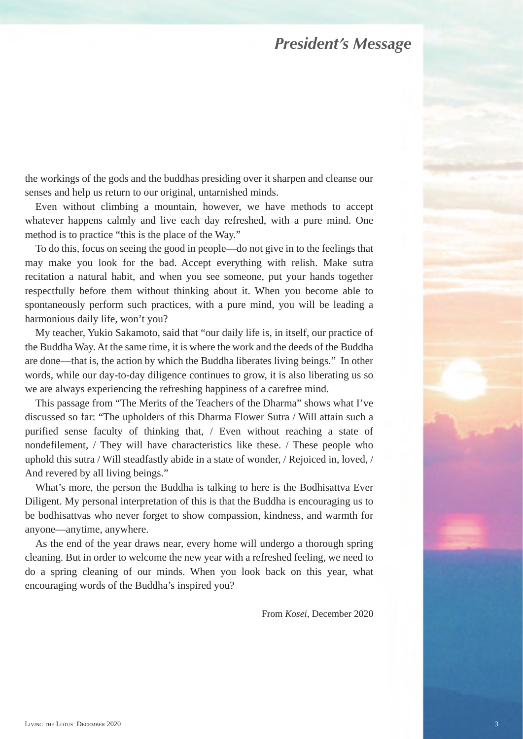#### *President's Message*

the workings of the gods and the buddhas presiding over it sharpen and cleanse our senses and help us return to our original, untarnished minds.

Even without climbing a mountain, however, we have methods to accept whatever happens calmly and live each day refreshed, with a pure mind. One method is to practice "this is the place of the Way."

To do this, focus on seeing the good in people—do not give in to the feelings that may make you look for the bad. Accept everything with relish. Make sutra recitation a natural habit, and when you see someone, put your hands together respectfully before them without thinking about it. When you become able to spontaneously perform such practices, with a pure mind, you will be leading a harmonious daily life, won't you?

My teacher, Yukio Sakamoto, said that "our daily life is, in itself, our practice of the Buddha Way. At the same time, it is where the work and the deeds of the Buddha are done—that is, the action by which the Buddha liberates living beings." In other words, while our day-to-day diligence continues to grow, it is also liberating us so we are always experiencing the refreshing happiness of a carefree mind.

This passage from "The Merits of the Teachers of the Dharma" shows what I've discussed so far: "The upholders of this Dharma Flower Sutra / Will attain such a purified sense faculty of thinking that, / Even without reaching a state of nondefilement, / They will have characteristics like these. / These people who uphold this sutra / Will steadfastly abide in a state of wonder, / Rejoiced in, loved, / And revered by all living beings."

What's more, the person the Buddha is talking to here is the Bodhisattva Ever Diligent. My personal interpretation of this is that the Buddha is encouraging us to be bodhisattvas who never forget to show compassion, kindness, and warmth for anyone—anytime, anywhere.

As the end of the year draws near, every home will undergo a thorough spring cleaning. But in order to welcome the new year with a refreshed feeling, we need to do a spring cleaning of our minds. When you look back on this year, what encouraging words of the Buddha's inspired you?

From *Kosei*, December 2020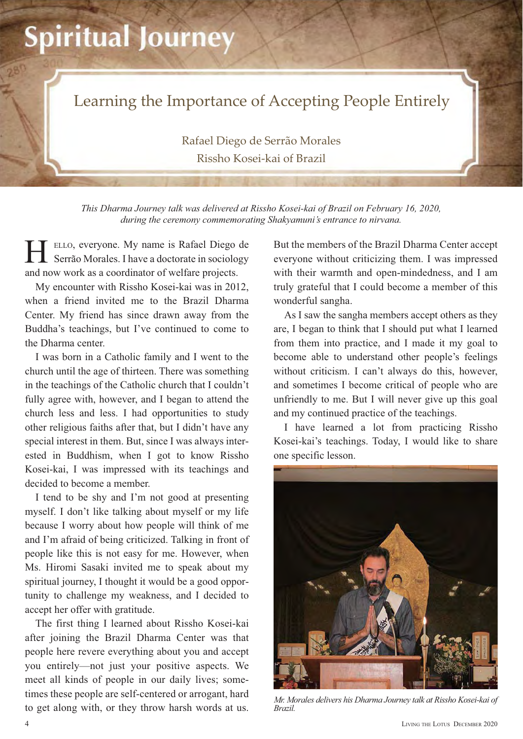## **Spiritual Journey**



Rafael Diego de Serrão Morales Rissho Kosei-kai of Brazil

*This Dharma Journey talk was delivered at Rissho Kosei-kai of Brazil on February 16, 2020, during the ceremony commemorating Shakyamuni's entrance to nirvana.*

ELLO, everyone. My name is Rafael Diego de Serrão Morales. I have a doctorate in sociology and now work as a coordinator of welfare projects. H

My encounter with Rissho Kosei-kai was in 2012, when a friend invited me to the Brazil Dharma Center. My friend has since drawn away from the Buddha's teachings, but I've continued to come to the Dharma center.

I was born in a Catholic family and I went to the church until the age of thirteen. There was something in the teachings of the Catholic church that I couldn't fully agree with, however, and I began to attend the church less and less. I had opportunities to study other religious faiths after that, but I didn't have any special interest in them. But, since I was always interested in Buddhism, when I got to know Rissho Kosei-kai, I was impressed with its teachings and decided to become a member.

I tend to be shy and I'm not good at presenting myself. I don't like talking about myself or my life because I worry about how people will think of me and I'm afraid of being criticized. Talking in front of people like this is not easy for me. However, when Ms. Hiromi Sasaki invited me to speak about my spiritual journey, I thought it would be a good opportunity to challenge my weakness, and I decided to accept her offer with gratitude.

The first thing I learned about Rissho Kosei-kai after joining the Brazil Dharma Center was that people here revere everything about you and accept you entirely—not just your positive aspects. We meet all kinds of people in our daily lives; sometimes these people are self-centered or arrogant, hard thres these people are served and a morality, that a metal of *Mr. Morales delivers his Dharma Journey talk at Rissho Kosei-kai of* to get along with, or they throw harsh words at us. *Brazil.* 

But the members of the Brazil Dharma Center accept everyone without criticizing them. I was impressed with their warmth and open-mindedness, and I am truly grateful that I could become a member of this wonderful sangha.

As I saw the sangha members accept others as they are, I began to think that I should put what I learned from them into practice, and I made it my goal to become able to understand other people's feelings without criticism. I can't always do this, however, and sometimes I become critical of people who are unfriendly to me. But I will never give up this goal and my continued practice of the teachings.

I have learned a lot from practicing Rissho Kosei-kai's teachings. Today, I would like to share one specific lesson.



*Brazil.*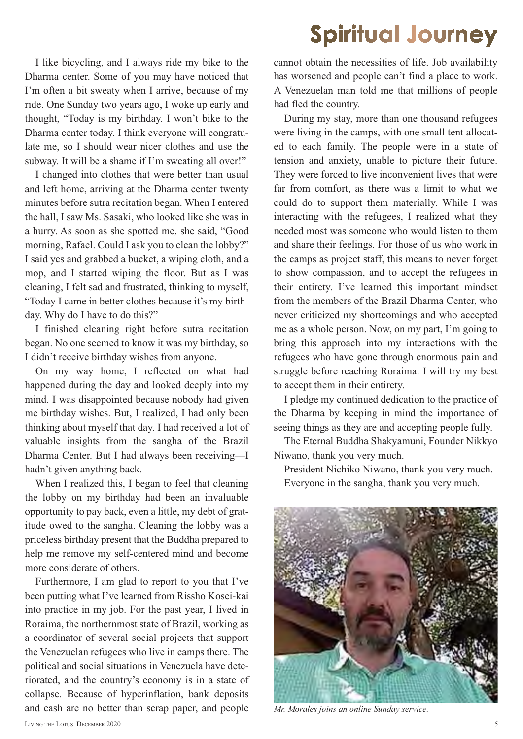## **Spiritual Journey**

I like bicycling, and I always ride my bike to the Dharma center. Some of you may have noticed that I'm often a bit sweaty when I arrive, because of my ride. One Sunday two years ago, I woke up early and thought, "Today is my birthday. I won't bike to the Dharma center today. I think everyone will congratulate me, so I should wear nicer clothes and use the subway. It will be a shame if I'm sweating all over!"

I changed into clothes that were better than usual and left home, arriving at the Dharma center twenty minutes before sutra recitation began. When I entered the hall, I saw Ms. Sasaki, who looked like she was in a hurry. As soon as she spotted me, she said, "Good morning, Rafael. Could I ask you to clean the lobby?" I said yes and grabbed a bucket, a wiping cloth, and a mop, and I started wiping the floor. But as I was cleaning, I felt sad and frustrated, thinking to myself, "Today I came in better clothes because it's my birthday. Why do I have to do this?"

I finished cleaning right before sutra recitation began. No one seemed to know it was my birthday, so I didn't receive birthday wishes from anyone.

On my way home, I reflected on what had happened during the day and looked deeply into my mind. I was disappointed because nobody had given me birthday wishes. But, I realized, I had only been thinking about myself that day. I had received a lot of valuable insights from the sangha of the Brazil Dharma Center. But I had always been receiving—I hadn't given anything back.

When I realized this, I began to feel that cleaning the lobby on my birthday had been an invaluable opportunity to pay back, even a little, my debt of gratitude owed to the sangha. Cleaning the lobby was a priceless birthday present that the Buddha prepared to help me remove my self-centered mind and become more considerate of others.

Furthermore, I am glad to report to you that I've been putting what I've learned from Rissho Kosei-kai into practice in my job. For the past year, I lived in Roraima, the northernmost state of Brazil, working as a coordinator of several social projects that support the Venezuelan refugees who live in camps there. The political and social situations in Venezuela have deteriorated, and the country's economy is in a state of collapse. Because of hyperinflation, bank deposits and cash are no better than scrap paper, and people cannot obtain the necessities of life. Job availability has worsened and people can't find a place to work. A Venezuelan man told me that millions of people had fled the country.

During my stay, more than one thousand refugees were living in the camps, with one small tent allocated to each family. The people were in a state of tension and anxiety, unable to picture their future. They were forced to live inconvenient lives that were far from comfort, as there was a limit to what we could do to support them materially. While I was interacting with the refugees, I realized what they needed most was someone who would listen to them and share their feelings. For those of us who work in the camps as project staff, this means to never forget to show compassion, and to accept the refugees in their entirety. I've learned this important mindset from the members of the Brazil Dharma Center, who never criticized my shortcomings and who accepted me as a whole person. Now, on my part, I'm going to bring this approach into my interactions with the refugees who have gone through enormous pain and struggle before reaching Roraima. I will try my best to accept them in their entirety.

I pledge my continued dedication to the practice of the Dharma by keeping in mind the importance of seeing things as they are and accepting people fully.

The Eternal Buddha Shakyamuni, Founder Nikkyo Niwano, thank you very much.

President Nichiko Niwano, thank you very much. Everyone in the sangha, thank you very much.



*Mr. Morales joins an online Sunday service.*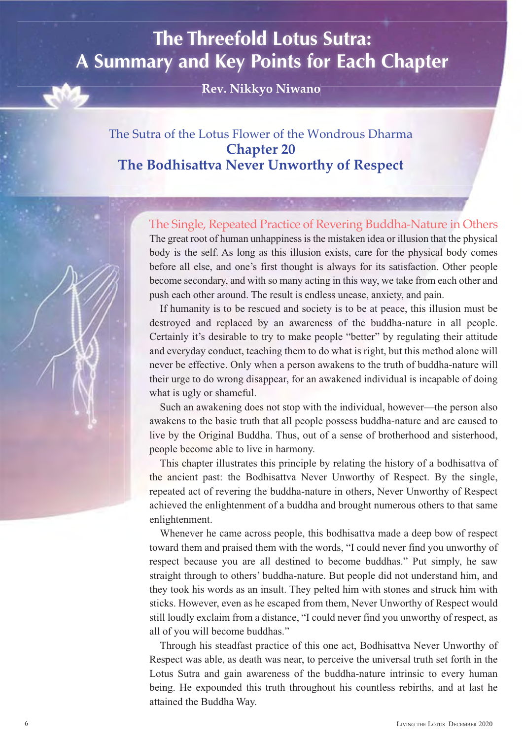## **The Threefold Lotus Sutra: A Summary and Key Points for Each Chapter**

 $Rev. Nikkvo Niwano<sup>†</sup>$ 

#### The Sutra of the Lotus Flower of the Wondrous Dharma **Chapter 20 The Bodhisattva Never Unworthy of Respect**



The great root of human unhappiness is the mistaken idea or illusion that the physical body is the self. As long as this illusion exists, care for the physical body comes before all else, and one's first thought is always for its satisfaction. Other people become secondary, and with so many acting in this way, we take from each other and The Single, Repeated Practice of Revering Buddha-Nature in Others

push each other around. The result is endless unease, anxiety, and pain.

If humanity is to be rescued and society is to be at peace, this illusion must be destroyed and replaced by an awareness of the buddha-nature in all people. Certainly it's desirable to try to make people "better" by regulating their attitude and everyday conduct, teaching them to do what is right, but this method alone will never be effective. Only when a person awakens to the truth of buddha-nature will their urge to do wrong disappear, for an awakened individual is incapable of doing what is ugly or shameful.

Such an awakening does not stop with the individual, however—the person also awakens to the basic truth that all people possess buddha-nature and are caused to live by the Original Buddha. Thus, out of a sense of brotherhood and sisterhood, people become able to live in harmony.

This chapter illustrates this principle by relating the history of a bodhisattva of the ancient past: the Bodhisattva Never Unworthy of Respect. By the single, repeated act of revering the buddha-nature in others, Never Unworthy of Respect achieved the enlightenment of a buddha and brought numerous others to that same enlightenment.

Whenever he came across people, this bodhisattva made a deep bow of respect toward them and praised them with the words, "I could never find you unworthy of respect because you are all destined to become buddhas." Put simply, he saw straight through to others' buddha-nature. But people did not understand him, and they took his words as an insult. They pelted him with stones and struck him with sticks. However, even as he escaped from them, Never Unworthy of Respect would still loudly exclaim from a distance, "I could never find you unworthy of respect, as all of you will become buddhas."

Through his steadfast practice of this one act, Bodhisattva Never Unworthy of Respect was able, as death was near, to perceive the universal truth set forth in the Lotus Sutra and gain awareness of the buddha-nature intrinsic to every human being. He expounded this truth throughout his countless rebirths, and at last he attained the Buddha Way.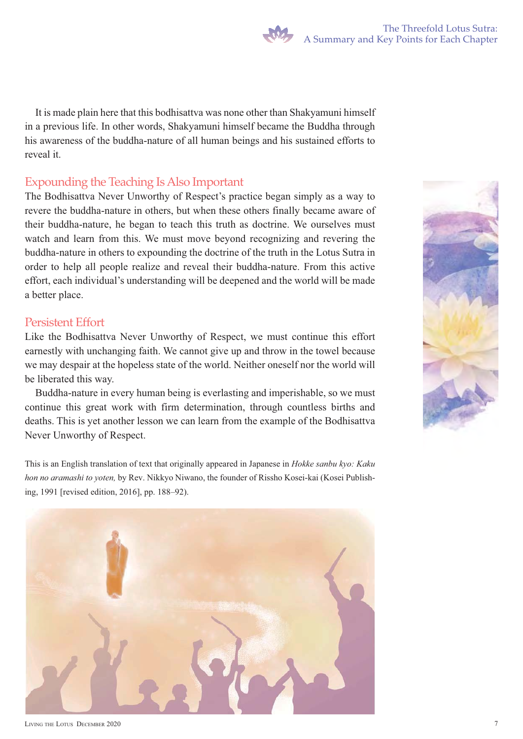It is made plain here that this bodhisattva was none other than Shakyamuni himself in a previous life. In other words, Shakyamuni himself became the Buddha through his awareness of the buddha-nature of all human beings and his sustained efforts to reveal it.

#### Expounding the Teaching Is Also Important

The Bodhisattva Never Unworthy of Respect's practice began simply as a way to revere the buddha-nature in others, but when these others finally became aware of their buddha-nature, he began to teach this truth as doctrine. We ourselves must watch and learn from this. We must move beyond recognizing and revering the buddha-nature in others to expounding the doctrine of the truth in the Lotus Sutra in order to help all people realize and reveal their buddha-nature. From this active effort, each individual's understanding will be deepened and the world will be made a better place.

#### Persistent Effort

Like the Bodhisattva Never Unworthy of Respect, we must continue this effort earnestly with unchanging faith. We cannot give up and throw in the towel because we may despair at the hopeless state of the world. Neither oneself nor the world will be liberated this way.

Buddha-nature in every human being is everlasting and imperishable, so we must continue this great work with firm determination, through countless births and deaths. This is yet another lesson we can learn from the example of the Bodhisattva Never Unworthy of Respect.

This is an English translation of text that originally appeared in Japanese in *Hokke sanbu kyo: Kaku hon no aramashi to yoten,* by Rev. Nikkyo Niwano, the founder of Rissho Kosei-kai (Kosei Publishing, 1991 [revised edition, 2016], pp. 188–92).



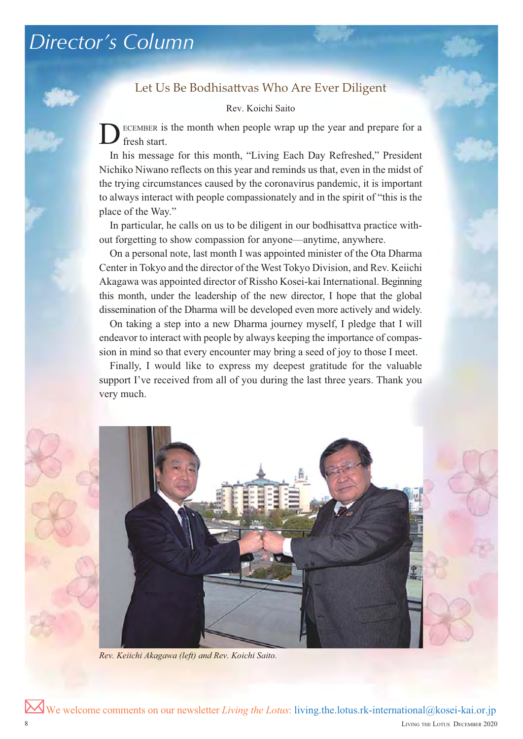#### Let Us Be Bodhisattvas Who Are Ever Diligent

Rev. Koichi Saito

D ECEMBER is the month when people wrap up the year and prepare for a fresh start.

In his message for this month, "Living Each Day Refreshed," President Nichiko Niwano reflects on this year and reminds us that, even in the midst of the trying circumstances caused by the coronavirus pandemic, it is important to always interact with people compassionately and in the spirit of "this is the place of the Way."

In particular, he calls on us to be diligent in our bodhisattva practice without forgetting to show compassion for anyone—anytime, anywhere.

On a personal note, last month I was appointed minister of the Ota Dharma Center in Tokyo and the director of the West Tokyo Division, and Rev. Keiichi Akagawa was appointed director of Rissho Kosei-kai International. Beginning this month, under the leadership of the new director, I hope that the global dissemination of the Dharma will be developed even more actively and widely.

On taking a step into a new Dharma journey myself, I pledge that I will endeavor to interact with people by always keeping the importance of compassion in mind so that every encounter may bring a seed of joy to those I meet.

Finally, I would like to express my deepest gratitude for the valuable support I've received from all of you during the last three years. Thank you very much.



*Rev. Keiichi Akagawa (left) and Rev. Koichi Saito.*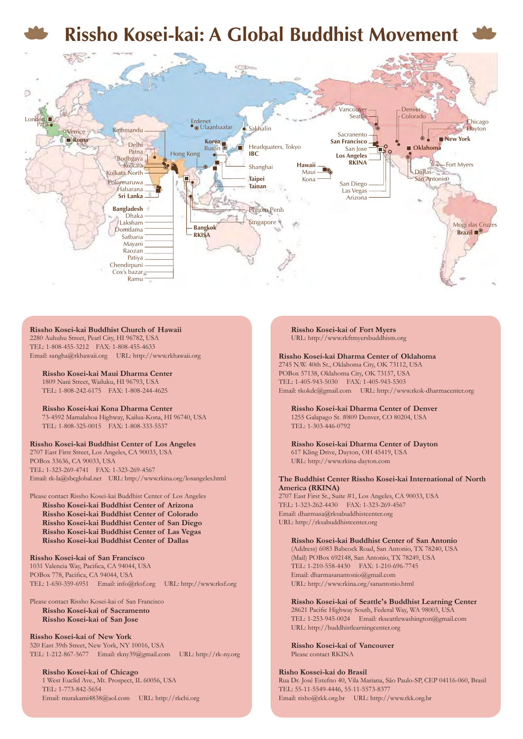

#### **Rissho Kosei-kai Buddhist Church of Hawaii**

2280 Auhuhu Street, Pearl City, HI 96782, USA TEL: 1-808-455-3212 FAX: 1-808-455-4633 Email: sangha@rkhawaii.org URL: http://www.rkhawaii.org

**Rissho Kosei-kai Maui Dharma Center** 1809 Nani Street, Wailuku, HI 96793, USA TEL: 1-808-242-6175 FAX: 1-808-244-4625

**Rissho Kosei-kai Kona Dharma Center** 73-4592 Mamalahoa Highway, Kailua-Kona, HI 96740, USA TEL: 1-808-325-0015 FAX: 1-808-333-5537

#### **Rissho Kosei-kai Buddhist Center of Los Angeles**

2707 East First Street, Los Angeles, CA 90033, USA POBox 33636, CA 90033, USA TEL: 1-323-269-4741 FAX: 1-323-269-4567 Email: rk-la@sbcglobal.net URL: http://www.rkina.org/losangeles.html

#### Please contact Rissho Kosei-kai Buddhist Center of Los Angeles

**Rissho Kosei-kai Buddhist Center of Arizona Rissho Kosei-kai Buddhist Center of Colorado Rissho Kosei-kai Buddhist Center of San Diego Rissho Kosei-kai Buddhist Center of Las Vegas Rissho Kosei-kai Buddhist Center of Dallas**

#### **Rissho Kosei-kai of San Francisco**

1031 Valencia Way, Pacifica, CA 94044, USA POBox 778, Pacifica, CA 94044, USA TEL: 1-650-359-6951 Email: info@rksf.org URL: http://www.rksf.org

#### Please contact Rissho Kosei-kai of San Francisco **Rissho Kosei-kai of Sacramento Rissho Kosei-kai of San Jose**

**Rissho Kosei-kai of New York** 320 East 39th Street, New York, NY 10016, USA TEL: 1-212-867-5677 Email: rkny39@gmail.com URL: http://rk-ny.org

**Rissho Kosei-kai of Chicago** 1 West Euclid Ave., Mt. Prospect, IL 60056, USA TEL: 1-773-842-5654 Email: murakami4838@aol.com URL: http://rkchi.org **Rissho Kosei-kai of Fort Myers** URL: http://www.rkftmyersbuddhism.org

#### **Rissho Kosei-kai Dharma Center of Oklahoma**

2745 N.W. 40th St., Oklahoma City, OK 73112, USA POBox 57138, Oklahoma City, OK 73157, USA TEL: 1-405-943-5030 FAX: 1-405-943-5303 Email: rkokdc@gmail.com URL: http://www.rkok-dharmacenter.org

**Rissho Kosei-kai Dharma Center of Denver** 1255 Galapago St. #809 Denver, CO 80204, USA TEL: 1-303-446-0792

**Rissho Kosei-kai Dharma Center of Dayton** 617 Kling Drive, Dayton, OH 45419, USA URL: http://www.rkina-dayton.com

#### **The Buddhist Center Rissho Kosei-kai International of North America (RKINA)**

2707 East First St., Suite #1, Los Angeles, CA 90033, USA TEL: 1-323-262-4430 FAX: 1-323-269-4567 Email: dharmasa@rksabuddhistcenter.org URL: http://rksabuddhistcenter.org

#### **Rissho Kosei-kai Buddhist Center of San Antonio**

(Address) 6083 Babcock Road, San Antonio, TX 78240, USA (Mail) POBox 692148, San Antonio, TX 78249, USA TEL: 1-210-558-4430 FAX: 1-210-696-7745 Email: dharmasanantonio@gmail.com URL: http://www.rkina.org/sanantonio.html

**Rissho Kosei-kai of Seattle's Buddhist Learning Center** 28621 Pacific Highway South, Federal Way, WA 98003, USA TEL: 1-253-945-0024 Email: rkseattlewashington@gmail.com URL: http://buddhistlearningcenter.org

**Rissho Kosei-kai of Vancouver** Please contact RKINA

#### **Risho Kossei-kai do Brasil**

Rua Dr. José Estefno 40, Vila Mariana, São Paulo-SP, CEP 04116-060, Brasil TEL: 55-11-5549-4446, 55-11-5573-837 Email: risho@rkk.org.br URL: http://www.rkk.org.br